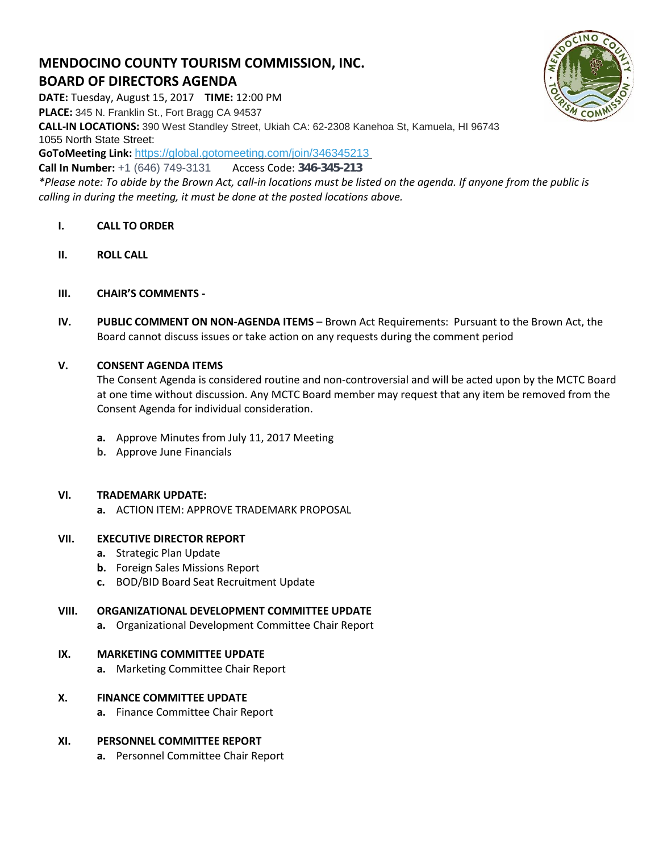# **MENDOCINO COUNTY TOURISM COMMISSION, INC. BOARD OF DIRECTORS AGENDA**

*calling in during the meeting, it must be done at the posted locations above.*

**DATE:** Tuesday, August 15, 2017 **TIME:** 12:00 PM **PLACE:** 345 N. Franklin St., Fort Bragg CA 94537 **CALL-IN LOCATIONS:** 390 West Standley Street, Ukiah CA: 62-2308 Kanehoa St, Kamuela, HI 96743 1055 North State Street: **GoToMeeting Link:** <https://global.gotomeeting.com/join/346345213> **Call In Number:** +1 (646) 749-3131 Access Code: 346-345-213 *\*Please note: To abide by the Brown Act, call-in locations must be listed on the agenda. If anyone from the public is* 

- **I. CALL TO ORDER**
- **II. ROLL CALL**
- **III. CHAIR'S COMMENTS -**
- **IV. PUBLIC COMMENT ON NON-AGENDA ITEMS** Brown Act Requirements: Pursuant to the Brown Act, the Board cannot discuss issues or take action on any requests during the comment period

## **V. CONSENT AGENDA ITEMS**

The Consent Agenda is considered routine and non-controversial and will be acted upon by the MCTC Board at one time without discussion. Any MCTC Board member may request that any item be removed from the Consent Agenda for individual consideration.

- **a.** Approve Minutes from July 11, 2017 Meeting
- **b.** Approve June Financials

#### **VI. TRADEMARK UPDATE:**

**a.** ACTION ITEM: APPROVE TRADEMARK PROPOSAL

#### **VII. EXECUTIVE DIRECTOR REPORT**

- **a.** Strategic Plan Update
- **b.** Foreign Sales Missions Report
- **c.** BOD/BID Board Seat Recruitment Update

#### **VIII. ORGANIZATIONAL DEVELOPMENT COMMITTEE UPDATE**

**a.** Organizational Development Committee Chair Report

#### **IX. MARKETING COMMITTEE UPDATE**

**a.** Marketing Committee Chair Report

#### **X. FINANCE COMMITTEE UPDATE**

**a.** Finance Committee Chair Report

#### **XI. PERSONNEL COMMITTEE REPORT**

**a.** Personnel Committee Chair Report